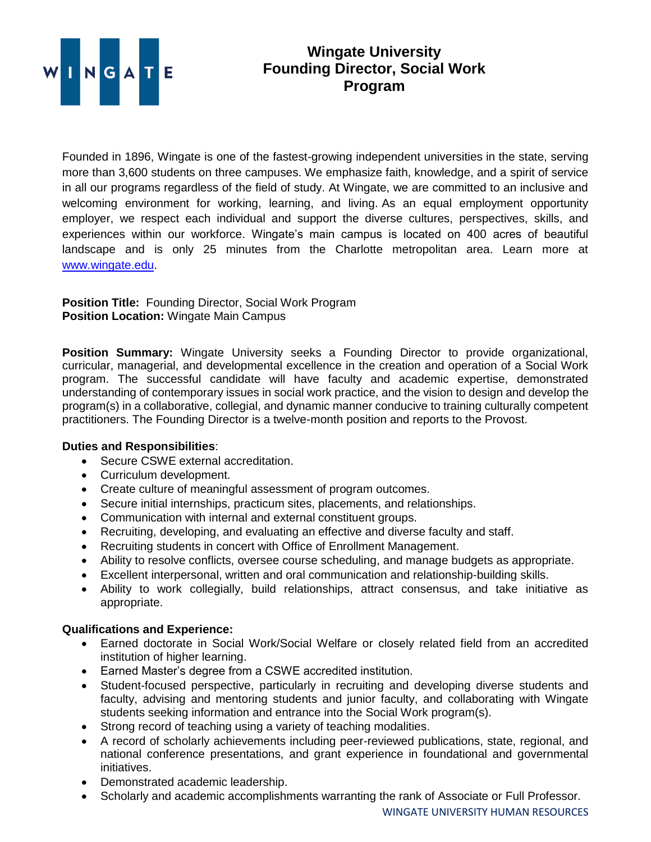

## **Wingate University Founding Director, Social Work Program**

Founded in 1896, Wingate is one of the fastest-growing independent universities in the state, serving more than 3,600 students on three campuses. We emphasize faith, knowledge, and a spirit of service in all our programs regardless of the field of study. At Wingate, we are committed to an inclusive and welcoming environment for working, learning, and living. As an equal employment opportunity employer, we respect each individual and support the diverse cultures, perspectives, skills, and experiences within our workforce. Wingate's main campus is located on 400 acres of beautiful landscape and is only 25 minutes from the Charlotte metropolitan area. Learn more at [www.wingate.edu.](http://www.wingate/edu)

**Position Title:** Founding Director, Social Work Program **Position Location:** Wingate Main Campus

**Position Summary:** Wingate University seeks a Founding Director to provide organizational, curricular, managerial, and developmental excellence in the creation and operation of a Social Work program. The successful candidate will have faculty and academic expertise, demonstrated understanding of contemporary issues in social work practice, and the vision to design and develop the program(s) in a collaborative, collegial, and dynamic manner conducive to training culturally competent practitioners. The Founding Director is a twelve-month position and reports to the Provost.

## **Duties and Responsibilities**:

- Secure CSWE external accreditation.
- Curriculum development.
- Create culture of meaningful assessment of program outcomes.
- Secure initial internships, practicum sites, placements, and relationships.
- Communication with internal and external constituent groups.
- Recruiting, developing, and evaluating an effective and diverse faculty and staff.
- Recruiting students in concert with Office of Enrollment Management.
- Ability to resolve conflicts, oversee course scheduling, and manage budgets as appropriate.
- Excellent interpersonal, written and oral communication and relationship-building skills.
- Ability to work collegially, build relationships, attract consensus, and take initiative as appropriate.

## **Qualifications and Experience:**

- Earned doctorate in Social Work/Social Welfare or closely related field from an accredited institution of higher learning.
- Earned Master's degree from a CSWE accredited institution.
- Student-focused perspective, particularly in recruiting and developing diverse students and faculty, advising and mentoring students and junior faculty, and collaborating with Wingate students seeking information and entrance into the Social Work program(s).
- Strong record of teaching using a variety of teaching modalities.
- A record of scholarly achievements including peer-reviewed publications, state, regional, and national conference presentations, and grant experience in foundational and governmental initiatives.
- Demonstrated academic leadership.
- Scholarly and academic accomplishments warranting the rank of Associate or Full Professor.